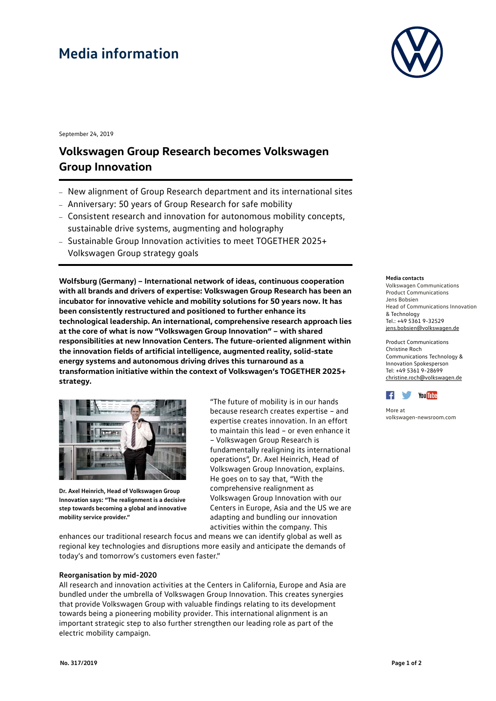# **Media information**



September 24, 2019

## **Volkswagen Group Research becomes Volkswagen Group Innovation**

- New alignment of Group Research department and its international sites
- Anniversary: 50 years of Group Research for safe mobility
- Consistent research and innovation for autonomous mobility concepts, sustainable drive systems, augmenting and holography
- Sustainable Group Innovation activities to meet TOGETHER 2025+ Volkswagen Group strategy goals

**Wolfsburg (Germany) – International network of ideas, continuous cooperation with all brands and drivers of expertise: Volkswagen Group Research has been an incubator for innovative vehicle and mobility solutions for 50 years now. It has been consistently restructured and positioned to further enhance its technological leadership. An international, comprehensive research approach lies at the core of what is now "Volkswagen Group Innovation" – with shared responsibilities at new Innovation Centers. The future-oriented alignment within the innovation fields of artificial intelligence, augmented reality, solid-state energy systems and autonomous driving drives this turnaround as a transformation initiative within the context of Volkswagen's TOGETHER 2025+ strategy.** 



**Dr. Axel Heinrich, Head of Volkswagen Group Innovation says: "The realignment is a decisive step towards becoming a global and innovative mobility service provider."**

"The future of mobility is in our hands because research creates expertise – and expertise creates innovation. In an effort to maintain this lead – or even enhance it – Volkswagen Group Research is fundamentally realigning its international operations", Dr. Axel Heinrich, Head of Volkswagen Group Innovation, explains. He goes on to say that, "With the comprehensive realignment as Volkswagen Group Innovation with our Centers in Europe, Asia and the US we are adapting and bundling our innovation activities within the company. This

enhances our traditional research focus and means we can identify global as well as regional key technologies and disruptions more easily and anticipate the demands of today's and tomorrow's customers even faster."

#### **Reorganisation by mid-2020**

All research and innovation activities at the Centers in California, Europe and Asia are bundled under the umbrella of Volkswagen Group Innovation. This creates synergies that provide Volkswagen Group with valuable findings relating to its development towards being a pioneering mobility provider. This international alignment is an important strategic step to also further strengthen our leading role as part of the electric mobility campaign.

#### **Media contacts**

Volkswagen Communications Product Communications Jens Bobsien Head of Communications Innovation & Technology Tel.: +49 5361 9-32529 [jens.bobsien@volkswagen.de](mailto:jens.bobsien@volkswagen.de)

Product Communications Christine Roch Communications Technology & Innovation Spokesperson Tel: +49 5361 9-28699 [christine.roch@volkswagen.de](mailto:christine.roch@volkswagen.de)



More at [volkswagen-newsroom.com](https://www.volkswagen-media-services.com/)